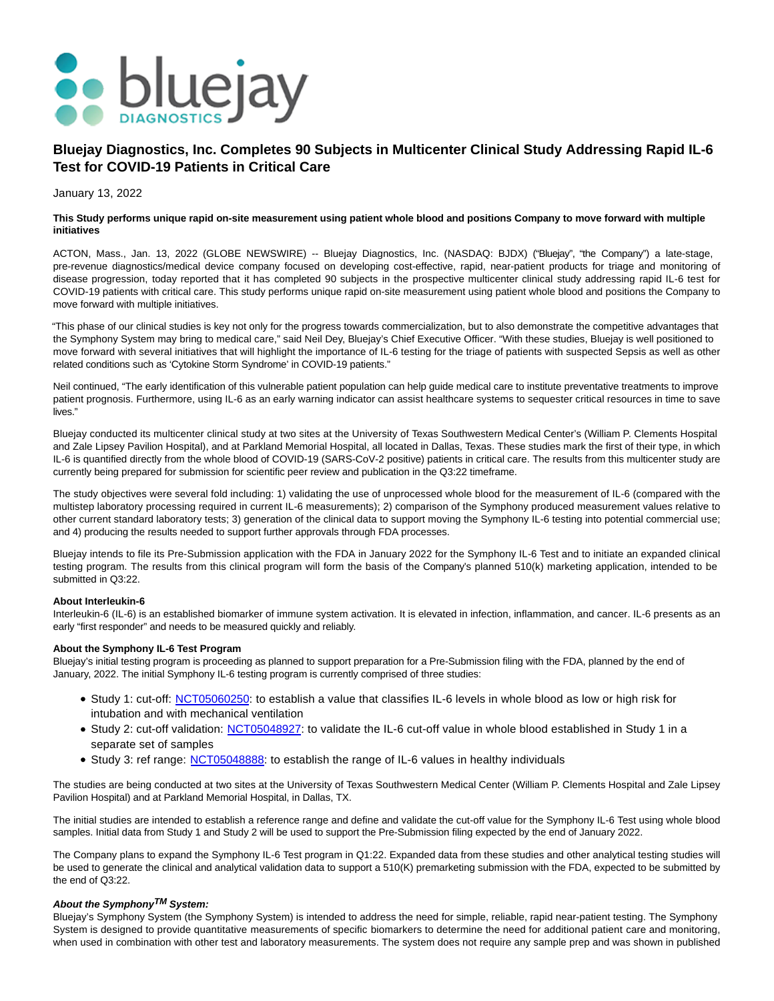

# **Bluejay Diagnostics, Inc. Completes 90 Subjects in Multicenter Clinical Study Addressing Rapid IL-6 Test for COVID-19 Patients in Critical Care**

January 13, 2022

## **This Study performs unique rapid on-site measurement using patient whole blood and positions Company to move forward with multiple initiatives**

ACTON, Mass., Jan. 13, 2022 (GLOBE NEWSWIRE) -- Bluejay Diagnostics, Inc. (NASDAQ: BJDX) ("Bluejay", "the Company") a late-stage, pre-revenue diagnostics/medical device company focused on developing cost-effective, rapid, near-patient products for triage and monitoring of disease progression, today reported that it has completed 90 subjects in the prospective multicenter clinical study addressing rapid IL-6 test for COVID-19 patients with critical care. This study performs unique rapid on-site measurement using patient whole blood and positions the Company to move forward with multiple initiatives.

"This phase of our clinical studies is key not only for the progress towards commercialization, but to also demonstrate the competitive advantages that the Symphony System may bring to medical care," said Neil Dey, Bluejay's Chief Executive Officer. "With these studies, Bluejay is well positioned to move forward with several initiatives that will highlight the importance of IL-6 testing for the triage of patients with suspected Sepsis as well as other related conditions such as 'Cytokine Storm Syndrome' in COVID-19 patients."

Neil continued, "The early identification of this vulnerable patient population can help guide medical care to institute preventative treatments to improve patient prognosis. Furthermore, using IL-6 as an early warning indicator can assist healthcare systems to sequester critical resources in time to save lives."

Bluejay conducted its multicenter clinical study at two sites at the University of Texas Southwestern Medical Center's (William P. Clements Hospital and Zale Lipsey Pavilion Hospital), and at Parkland Memorial Hospital, all located in Dallas, Texas. These studies mark the first of their type, in which IL-6 is quantified directly from the whole blood of COVID-19 (SARS-CoV-2 positive) patients in critical care. The results from this multicenter study are currently being prepared for submission for scientific peer review and publication in the Q3:22 timeframe.

The study objectives were several fold including: 1) validating the use of unprocessed whole blood for the measurement of IL-6 (compared with the multistep laboratory processing required in current IL-6 measurements); 2) comparison of the Symphony produced measurement values relative to other current standard laboratory tests; 3) generation of the clinical data to support moving the Symphony IL-6 testing into potential commercial use; and 4) producing the results needed to support further approvals through FDA processes.

Bluejay intends to file its Pre-Submission application with the FDA in January 2022 for the Symphony IL-6 Test and to initiate an expanded clinical testing program. The results from this clinical program will form the basis of the Company's planned 510(k) marketing application, intended to be submitted in Q3:22.

## **About Interleukin-6**

Interleukin-6 (IL-6) is an established biomarker of immune system activation. It is elevated in infection, inflammation, and cancer. IL-6 presents as an early "first responder" and needs to be measured quickly and reliably.

## **About the Symphony IL-6 Test Program**

Bluejay's initial testing program is proceeding as planned to support preparation for a Pre-Submission filing with the FDA, planned by the end of January, 2022. The initial Symphony IL-6 testing program is currently comprised of three studies:

- Study 1: cut-off: [NCT05060250:](https://clinicaltrials.gov/ct2/show/NCT05060250?term=bluejay&draw=2&rank=1) to establish a value that classifies IL-6 levels in whole blood as low or high risk for intubation and with mechanical ventilation
- Study 2: cut-off validation: [NCT05048927:](https://clinicaltrials.gov/ct2/show/NCT05048927?term=bluejay&draw=2&rank=2) to validate the IL-6 cut-off value in whole blood established in Study 1 in a separate set of samples
- Study 3: ref range: [NCT05048888:](https://clinicaltrials.gov/ct2/show/NCT05048888?term=bluejay&draw=2&rank=3) to establish the range of IL-6 values in healthy individuals

The studies are being conducted at two sites at the University of Texas Southwestern Medical Center (William P. Clements Hospital and Zale Lipsey Pavilion Hospital) and at Parkland Memorial Hospital, in Dallas, TX.

The initial studies are intended to establish a reference range and define and validate the cut-off value for the Symphony IL-6 Test using whole blood samples. Initial data from Study 1 and Study 2 will be used to support the Pre-Submission filing expected by the end of January 2022.

The Company plans to expand the Symphony IL-6 Test program in Q1:22. Expanded data from these studies and other analytical testing studies will be used to generate the clinical and analytical validation data to support a 510(K) premarketing submission with the FDA, expected to be submitted by the end of Q3:22.

# **About the SymphonyTM System:**

Bluejay's Symphony System (the Symphony System) is intended to address the need for simple, reliable, rapid near-patient testing. The Symphony System is designed to provide quantitative measurements of specific biomarkers to determine the need for additional patient care and monitoring, when used in combination with other test and laboratory measurements. The system does not require any sample prep and was shown in published